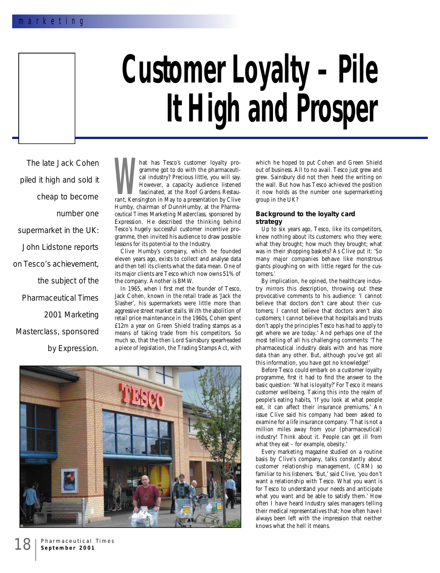# **Customer Loyalty – Pile It High and Prosper**

The late Jack Cohen piled it high and sold it cheap to become number one supermarket in the UK: John Lidstone reports on Tesco's achievement, the subject of the *Pharmaceutical Times* 2001 Marketing Masterclass, sponsored by Expression.

**We Cal industry?** Precious little, you will say.<br>
However, a capacity audience listened<br>
fascinated, at the Roof Gardens Restau-<br>
rant, Kensington in May to a presentation by Clive hat has Tesco's customer lovalty programme got to do with the pharmaceutical industry? Precious little, you will say. However, a capacity audience listened fascinated, at the Roof Gardens Restau-Humby, chairman of DunnHumby, at the *Pharmaceutical Times* Marketing Masterclass, sponsored by Expression. He described the thinking behind Tesco's hugely successful customer incentive programme, then invited his audience to draw possible lessons for its potential to the Industry.

Clive Humby's company, which he founded eleven years ago, exists to collect and analyse data and then tell its clients what the data mean. One of its major clients are Tesco which now owns 51% of the company. Another is BMW.

In 1965, when I first met the founder of Tesco, Jack Cohen, known in the retail trade as 'Jack the Slasher', his supermarkets were little more than aggressive street market stalls. With the abolition of retail price maintenance in the 1960s, Cohen spent £12m a year on Green Shield trading stamps as a means of taking trade from his competitors. So much so, that the then Lord Sainsbury spearheaded a piece of legislation, the Trading Stamps Act, with



which he hoped to put Cohen and Green Shield out of business. All to no avail. Tesco just grew and grew. Sainsbury did not then heed the writing on the wall. But how has Tesco achieved the position it now holds as the number one supermarketing group in the UK?

## **Background to the loyalty card strategy**

Up to six years ago, Tesco, like its competitors, knew nothing about its customers: who they were; what they brought; how much they brought; what was in their shopping baskets? As Clive put it: 'So many major companies behave like monstrous giants ploughing on with little regard for the customers.'

By implication, he opined, the healthcare industry mirrors this description, throwing out these provocative comments to his audience: 'I cannot believe that doctors don't care about their customers; I cannot believe that doctors aren't also customers; I cannot believe that hospitals and trusts don't apply the principles Tesco has had to apply to get where we are today.' And perhaps one of the most telling of all his challenging comments: 'The pharmaceutical industry deals with and has more data than any other. But, although you've got all this information, you have got no knowledge!'

Before Tesco could embark on a customer loyalty programme, first it had to find the answer to the basic question: 'What is loyalty?' For Tesco it means customer wellbeing. Taking this into the realm of people's eating habits, 'If you look at what people eat, it can affect their insurance premiums.' An issue Clive said his company had been asked to examine for a life insurance company. 'That is not a million miles away from your (pharmaceutical) industry! Think about it. People can get ill from what they eat – for example, obesity.'

Every marketing magazine studied on a routine basis by Clive's company, talks constantly about customer relationship management, (CRM) so familiar to his listeners. 'But,' said Clive, 'you don't want a relationship with Tesco. What you want is for Tesco to understand your needs and anticipate what you want and be able to satisfy them.' How often I have heard Industry sales managers telling their medical representatives that; how often have I always been left with the impression that neither knows what the hell it means.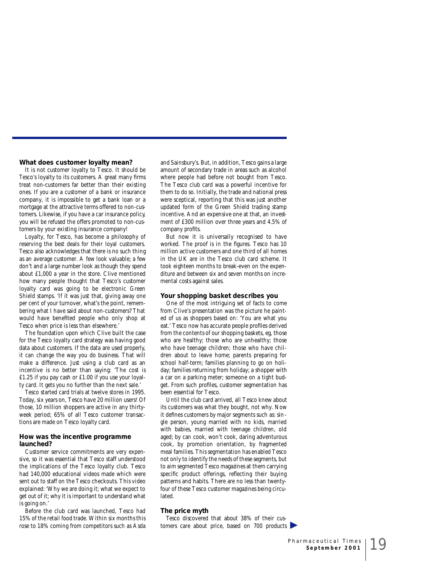## **What does customer loyalty mean?**

It is not customer loyalty to Tesco. It should be Tesco's loyalty to its customers. A great many firms treat non-customers far better than their existing ones. If you are a customer of a bank or insurance company, it is impossible to get a bank loan or a mortgage at the attractive terms offered to non-customers. Likewise, if you have a car insurance policy, you will be refused the offers promoted to non-customers by your existing insurance company!

Loyalty, for Tesco, has become a philosophy of reserving the best deals for their loyal customers. Tesco also acknowledges that there is no such thing as an average customer. A few look valuable; a few don't and a large number look as though they spend about £1,000 a year in the store. Clive mentioned how many people thought that Tesco's customer loyalty card was going to be electronic Green Shield stamps. 'If it was just that, giving away one per cent of your turnover, what's the point, remembering what I have said about non-customers? That would have benefited people who only shop at Tesco when price is less than elsewhere.'

The foundation upon which Clive built the case for the Tesco loyalty card strategy was having good data about customers. If the data are used properly, it can change the way you do business. That will make a difference. Just using a club card as an incentive is no better than saying: 'The cost is £1.25 if you pay cash or £1.00 if you use your loyalty card. It gets you no further than the next sale.'

Tesco started card trials at twelve stores in 1995. Today, six years on, Tesco have 20 million users! Of those, 10 million shoppers are active in any thirtyweek period; 65% of all Tesco customer transactions are made on Tesco loyalty card.

### **How was the incentive programme launched?**

Customer service commitments are very expensive, so it was essential that Tesco staff understood the implications of the Tesco loyalty club. Tesco had 140,000 educational videos made which were sent out to staff on the Tesco checkouts. This video explained: 'Why we are doing it; what we expect to get out of it; why it is important to understand what is going on.'

Before the club card was launched, Tesco had 15% of the retail food trade. Within six months this rose to 18% coming from competitors such as Asda

and Sainsbury's. But, in addition, Tesco gains a large amount of secondary trade in areas such as alcohol where people had before not bought from Tesco. The Tesco club card was a powerful incentive for them to do so. Initially, the trade and national press were sceptical, reporting that this was just another updated form of the Green Shield trading stamp incentive. And an expensive one at that, an investment of £300 million over three years and 4.5% of company profits.

But now it is universally recognised to have worked. The proof is in the figures. Tesco has 10 million active customers and one third of all homes in the UK are in the Tesco club card scheme. It took eighteen months to break-even on the expenditure and between six and seven months on incremental costs against sales.

#### **Your shopping basket describes you**

One of the most intriguing set of facts to come from Clive's presentation was the picture he painted of us as shoppers based on: 'You are what you eat.' Tesco now has accurate people profiles derived from the contents of our shopping baskets, eg, those who are healthy; those who are unhealthy; those who have teenage children; those who have children about to leave home; parents preparing for school half-term; families planning to go on holiday; families returning from holiday; a shopper with a car on a parking meter; someone on a tight budget. From such profiles, customer segmentation has been essential for Tesco.

Until the club card arrived, all Tesco knew about its customers was what they bought, not why. Now it defines customers by major segments such as: single person, young married with no kids, married with babies, married with teenage children, old aged; by can cook, won't cook, daring adventurous cook, by promotion orientation, by fragmented meal families. This segmentation has enabled Tesco not only to identify the needs of these segments, but to aim segmented Tesco magazines at them carrying specific product offerings, reflecting their buying patterns and habits. There are no less than twentyfour of these Tesco customer magazines being circulated.

# **The price myth**

Tesco discovered that about 38% of their customers care about price, based on  $700$  products